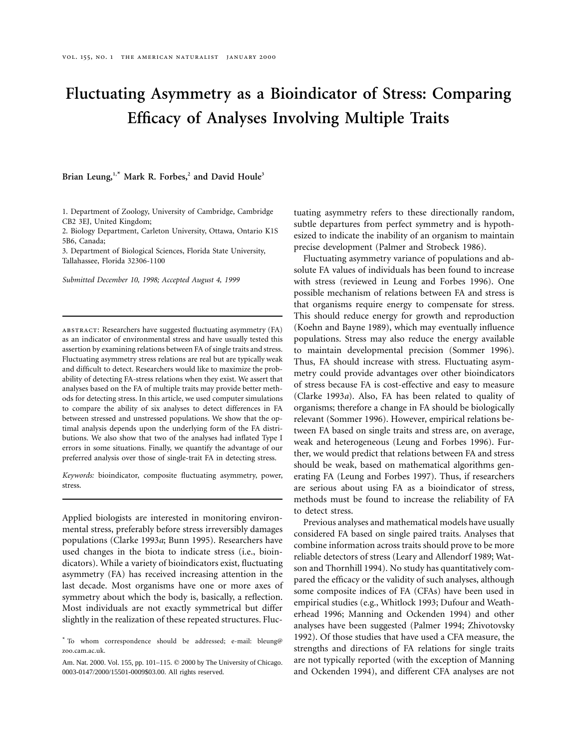# **Fluctuating Asymmetry as a Bioindicator of Stress: Comparing Efficacy of Analyses Involving Multiple Traits**

Brian Leung,<sup>1,\*</sup> Mark R. Forbes,<sup>2</sup> and David Houle<sup>3</sup>

1. Department of Zoology, University of Cambridge, Cambridge CB2 3EJ, United Kingdom;

2. Biology Department, Carleton University, Ottawa, Ontario K1S 5B6, Canada;

3. Department of Biological Sciences, Florida State University, Tallahassee, Florida 32306-1100

*Submitted December 10, 1998; Accepted August 4, 1999*

abstract: Researchers have suggested fluctuating asymmetry (FA) as an indicator of environmental stress and have usually tested this assertion by examining relations between FA of single traits and stress. Fluctuating asymmetry stress relations are real but are typically weak and difficult to detect. Researchers would like to maximize the probability of detecting FA-stress relations when they exist. We assert that analyses based on the FA of multiple traits may provide better methods for detecting stress. In this article, we used computer simulations to compare the ability of six analyses to detect differences in FA between stressed and unstressed populations. We show that the optimal analysis depends upon the underlying form of the FA distributions. We also show that two of the analyses had inflated Type I errors in some situations. Finally, we quantify the advantage of our preferred analysis over those of single-trait FA in detecting stress.

*Keywords:* bioindicator, composite fluctuating asymmetry, power, stress.

Applied biologists are interested in monitoring environmental stress, preferably before stress irreversibly damages populations (Clarke 1993*a*; Bunn 1995). Researchers have used changes in the biota to indicate stress (i.e., bioindicators). While a variety of bioindicators exist, fluctuating asymmetry (FA) has received increasing attention in the last decade. Most organisms have one or more axes of symmetry about which the body is, basically, a reflection. Most individuals are not exactly symmetrical but differ slightly in the realization of these repeated structures. Fluctuating asymmetry refers to these directionally random, subtle departures from perfect symmetry and is hypothesized to indicate the inability of an organism to maintain precise development (Palmer and Strobeck 1986).

Fluctuating asymmetry variance of populations and absolute FA values of individuals has been found to increase with stress (reviewed in Leung and Forbes 1996). One possible mechanism of relations between FA and stress is that organisms require energy to compensate for stress. This should reduce energy for growth and reproduction (Koehn and Bayne 1989), which may eventually influence populations. Stress may also reduce the energy available to maintain developmental precision (Sommer 1996). Thus, FA should increase with stress. Fluctuating asymmetry could provide advantages over other bioindicators of stress because FA is cost-effective and easy to measure (Clarke 1993*a*). Also, FA has been related to quality of organisms; therefore a change in FA should be biologically relevant (Sommer 1996). However, empirical relations between FA based on single traits and stress are, on average, weak and heterogeneous (Leung and Forbes 1996). Further, we would predict that relations between FA and stress should be weak, based on mathematical algorithms generating FA (Leung and Forbes 1997). Thus, if researchers are serious about using FA as a bioindicator of stress, methods must be found to increase the reliability of FA to detect stress.

Previous analyses and mathematical models have usually considered FA based on single paired traits. Analyses that combine information across traits should prove to be more reliable detectors of stress (Leary and Allendorf 1989; Watson and Thornhill 1994). No study has quantitatively compared the efficacy or the validity of such analyses, although some composite indices of FA (CFAs) have been used in empirical studies (e.g., Whitlock 1993; Dufour and Weatherhead 1996; Manning and Ockenden 1994) and other analyses have been suggested (Palmer 1994; Zhivotovsky 1992). Of those studies that have used a CFA measure, the strengths and directions of FA relations for single traits are not typically reported (with the exception of Manning and Ockenden 1994), and different CFA analyses are not

<sup>\*</sup> To whom correspondence should be addressed; e-mail: bleung@ zoo.cam.ac.uk.

Am. Nat. 2000. Vol. 155, pp. 101-115.  $©$  2000 by The University of Chicago. 0003-0147/2000/15501-0009\$03.00. All rights reserved.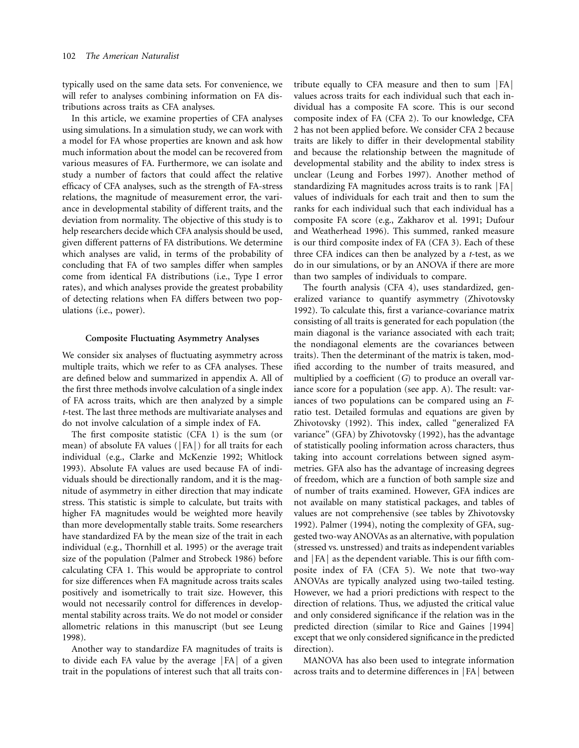typically used on the same data sets. For convenience, we will refer to analyses combining information on FA distributions across traits as CFA analyses.

In this article, we examine properties of CFA analyses using simulations. In a simulation study, we can work with a model for FA whose properties are known and ask how much information about the model can be recovered from various measures of FA. Furthermore, we can isolate and study a number of factors that could affect the relative efficacy of CFA analyses, such as the strength of FA-stress relations, the magnitude of measurement error, the variance in developmental stability of different traits, and the deviation from normality. The objective of this study is to help researchers decide which CFA analysis should be used, given different patterns of FA distributions. We determine which analyses are valid, in terms of the probability of concluding that FA of two samples differ when samples come from identical FA distributions (i.e., Type I error rates), and which analyses provide the greatest probability of detecting relations when FA differs between two populations (i.e., power).

#### **Composite Fluctuating Asymmetry Analyses**

We consider six analyses of fluctuating asymmetry across multiple traits, which we refer to as CFA analyses. These are defined below and summarized in appendix A. All of the first three methods involve calculation of a single index of FA across traits, which are then analyzed by a simple *t*-test. The last three methods are multivariate analyses and do not involve calculation of a simple index of FA.

The first composite statistic (CFA 1) is the sum (or mean) of absolute FA values ( $|FA|$ ) for all traits for each individual (e.g., Clarke and McKenzie 1992; Whitlock 1993). Absolute FA values are used because FA of individuals should be directionally random, and it is the magnitude of asymmetry in either direction that may indicate stress. This statistic is simple to calculate, but traits with higher FA magnitudes would be weighted more heavily than more developmentally stable traits. Some researchers have standardized FA by the mean size of the trait in each individual (e.g., Thornhill et al. 1995) or the average trait size of the population (Palmer and Strobeck 1986) before calculating CFA 1. This would be appropriate to control for size differences when FA magnitude across traits scales positively and isometrically to trait size. However, this would not necessarily control for differences in developmental stability across traits. We do not model or consider allometric relations in this manuscript (but see Leung 1998).

Another way to standardize FA magnitudes of traits is to divide each FA value by the average  $|FA|$  of a given trait in the populations of interest such that all traits contribute equally to CFA measure and then to sum  $|FA|$ values across traits for each individual such that each individual has a composite FA score. This is our second composite index of FA (CFA 2). To our knowledge, CFA 2 has not been applied before. We consider CFA 2 because traits are likely to differ in their developmental stability and because the relationship between the magnitude of developmental stability and the ability to index stress is unclear (Leung and Forbes 1997). Another method of standardizing FA magnitudes across traits is to rank  $|FA|$ values of individuals for each trait and then to sum the ranks for each individual such that each individual has a composite FA score (e.g., Zakharov et al. 1991; Dufour and Weatherhead 1996). This summed, ranked measure is our third composite index of FA (CFA 3). Each of these three CFA indices can then be analyzed by a *t*-test, as we do in our simulations, or by an ANOVA if there are more than two samples of individuals to compare.

The fourth analysis (CFA 4), uses standardized, generalized variance to quantify asymmetry (Zhivotovsky 1992). To calculate this, first a variance-covariance matrix consisting of all traits is generated for each population (the main diagonal is the variance associated with each trait; the nondiagonal elements are the covariances between traits). Then the determinant of the matrix is taken, modified according to the number of traits measured, and multiplied by a coefficient (*G*) to produce an overall variance score for a population (see app. A). The result: variances of two populations can be compared using an *F*ratio test. Detailed formulas and equations are given by Zhivotovsky (1992). This index, called "generalized FA variance" (GFA) by Zhivotovsky (1992), has the advantage of statistically pooling information across characters, thus taking into account correlations between signed asymmetries. GFA also has the advantage of increasing degrees of freedom, which are a function of both sample size and of number of traits examined. However, GFA indices are not available on many statistical packages, and tables of values are not comprehensive (see tables by Zhivotovsky 1992). Palmer (1994), noting the complexity of GFA, suggested two-way ANOVAs as an alternative, with population (stressed vs. unstressed) and traits as independent variables and  $|FA|$  as the dependent variable. This is our fifth composite index of FA (CFA 5). We note that two-way ANOVAs are typically analyzed using two-tailed testing. However, we had a priori predictions with respect to the direction of relations. Thus, we adjusted the critical value and only considered significance if the relation was in the predicted direction (similar to Rice and Gaines [1994] except that we only considered significance in the predicted direction).

MANOVA has also been used to integrate information across traits and to determine differences in  $|FA|$  between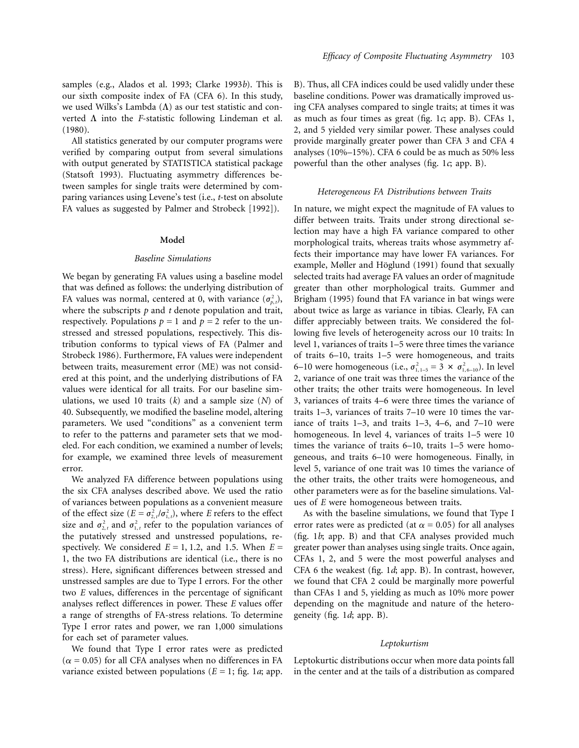samples (e.g., Alados et al. 1993; Clarke 1993*b*). This is our sixth composite index of FA (CFA 6). In this study, we used Wilks's Lambda  $(\Lambda)$  as our test statistic and converted  $\Lambda$  into the *F*-statistic following Lindeman et al. (1980).

All statistics generated by our computer programs were verified by comparing output from several simulations with output generated by STATISTICA statistical package (Statsoft 1993). Fluctuating asymmetry differences between samples for single traits were determined by comparing variances using Levene's test (i.e., *t*-test on absolute FA values as suggested by Palmer and Strobeck [1992]).

#### **Model**

#### *Baseline Simulations*

We began by generating FA values using a baseline model that was defined as follows: the underlying distribution of FA values was normal, centered at 0, with variance  $(\sigma_n^2)$ , where the subscripts *p* and *t* denote population and trait, respectively. Populations  $p = 1$  and  $p = 2$  refer to the unstressed and stressed populations, respectively. This distribution conforms to typical views of FA (Palmer and Strobeck 1986). Furthermore, FA values were independent between traits, measurement error (ME) was not considered at this point, and the underlying distributions of FA values were identical for all traits. For our baseline simulations, we used 10 traits (*k*) and a sample size (*N*) of 40. Subsequently, we modified the baseline model, altering parameters. We used "conditions" as a convenient term to refer to the patterns and parameter sets that we modeled. For each condition, we examined a number of levels; for example, we examined three levels of measurement error.

We analyzed FA difference between populations using the six CFA analyses described above. We used the ratio of variances between populations as a convenient measure of the effect size  $(E = \sigma_{2,t}^2/\sigma_{1,t}^2)$ , where *E* refers to the effect size and  $\sigma_{2,t}^2$  and  $\sigma_{1,t}^2$  refer to the population variances of the putatively stressed and unstressed populations, respectively. We considered  $E = 1, 1.2,$  and 1.5. When  $E =$ 1, the two FA distributions are identical (i.e., there is no stress). Here, significant differences between stressed and unstressed samples are due to Type I errors. For the other two *E* values, differences in the percentage of significant analyses reflect differences in power. These *E* values offer a range of strengths of FA-stress relations. To determine Type I error rates and power, we ran 1,000 simulations for each set of parameter values.

We found that Type I error rates were as predicted  $(\alpha = 0.05)$  for all CFA analyses when no differences in FA variance existed between populations  $(E = 1;$  fig. 1*a*; app.

B). Thus, all CFA indices could be used validly under these baseline conditions. Power was dramatically improved using CFA analyses compared to single traits; at times it was as much as four times as great (fig. 1*c*; app. B). CFAs 1, 2, and 5 yielded very similar power. These analyses could provide marginally greater power than CFA 3 and CFA 4 analyses (10%–15%). CFA 6 could be as much as 50% less powerful than the other analyses (fig. 1*c*; app. B).

#### *Heterogeneous FA Distributions between Traits*

In nature, we might expect the magnitude of FA values to differ between traits. Traits under strong directional selection may have a high FA variance compared to other morphological traits, whereas traits whose asymmetry affects their importance may have lower FA variances. For example, Møller and Höglund (1991) found that sexually selected traits had average FA values an order of magnitude greater than other morphological traits. Gummer and Brigham (1995) found that FA variance in bat wings were about twice as large as variance in tibias. Clearly, FA can differ appreciably between traits. We considered the following five levels of heterogeneity across our 10 traits: In level 1, variances of traits 1–5 were three times the variance of traits 6–10, traits 1–5 were homogeneous, and traits 6–10 were homogeneous (i.e.,  $\sigma_{1,1-5}^2 = 3 \times \sigma_{1,6-10}^2$ ). In level 2, variance of one trait was three times the variance of the other traits; the other traits were homogeneous. In level 3, variances of traits 4–6 were three times the variance of traits 1–3, variances of traits 7–10 were 10 times the variance of traits  $1-3$ , and traits  $1-3$ ,  $4-6$ , and  $7-10$  were homogeneous. In level 4, variances of traits 1–5 were 10 times the variance of traits 6–10, traits 1–5 were homogeneous, and traits 6–10 were homogeneous. Finally, in level 5, variance of one trait was 10 times the variance of the other traits, the other traits were homogeneous, and other parameters were as for the baseline simulations. Values of *E* were homogeneous between traits.

As with the baseline simulations, we found that Type I error rates were as predicted (at  $\alpha = 0.05$ ) for all analyses (fig. 1*b*; app. B) and that CFA analyses provided much greater power than analyses using single traits. Once again, CFAs 1, 2, and 5 were the most powerful analyses and CFA 6 the weakest (fig. 1*d*; app. B). In contrast, however, we found that CFA 2 could be marginally more powerful than CFAs 1 and 5, yielding as much as 10% more power depending on the magnitude and nature of the heterogeneity (fig. 1*d*; app. B).

#### *Leptokurtism*

Leptokurtic distributions occur when more data points fall in the center and at the tails of a distribution as compared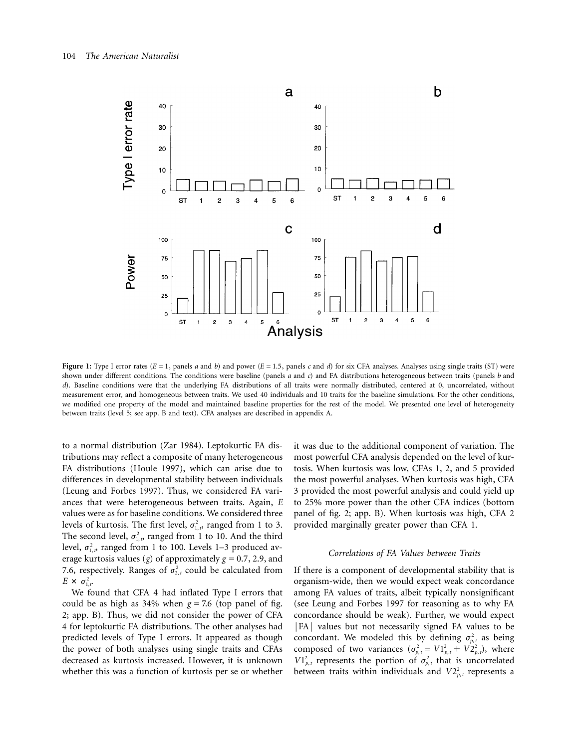

**Figure 1:** Type I error rates ( $E = 1$ , panels *a* and *b*) and power ( $E = 1.5$ , panels *c* and *d*) for six CFA analyses. Analyses using single traits (ST) were shown under different conditions. The conditions were baseline (panels *a* and *c*) and FA distributions heterogeneous between traits (panels *b* and *d*). Baseline conditions were that the underlying FA distributions of all traits were normally distributed, centered at 0, uncorrelated, without measurement error, and homogeneous between traits. We used 40 individuals and 10 traits for the baseline simulations. For the other conditions, we modified one property of the model and maintained baseline properties for the rest of the model. We presented one level of heterogeneity between traits (level 5; see app. B and text). CFA analyses are described in appendix A.

to a normal distribution (Zar 1984). Leptokurtic FA distributions may reflect a composite of many heterogeneous FA distributions (Houle 1997), which can arise due to differences in developmental stability between individuals (Leung and Forbes 1997). Thus, we considered FA variances that were heterogeneous between traits. Again, *E* values were as for baseline conditions. We considered three levels of kurtosis. The first level,  $\sigma_{1,t}^2$ , ranged from 1 to 3. The second level,  $\sigma_{1,t}^2$ , ranged from 1 to 10. And the third level,  $\sigma_{1,p}^2$  ranged from 1 to 100. Levels 1–3 produced average kurtosis values (*g*) of approximately  $g = 0.7, 2.9,$  and 7.6, respectively. Ranges of  $\sigma_{2,t}^2$  could be calculated from  $E \times \sigma_{1,t}^2$ 

We found that CFA 4 had inflated Type I errors that could be as high as 34% when  $g = 7.6$  (top panel of fig. 2; app. B). Thus, we did not consider the power of CFA 4 for leptokurtic FA distributions. The other analyses had predicted levels of Type I errors. It appeared as though the power of both analyses using single traits and CFAs decreased as kurtosis increased. However, it is unknown whether this was a function of kurtosis per se or whether it was due to the additional component of variation. The most powerful CFA analysis depended on the level of kurtosis. When kurtosis was low, CFAs 1, 2, and 5 provided the most powerful analyses. When kurtosis was high, CFA 3 provided the most powerful analysis and could yield up to 25% more power than the other CFA indices (bottom panel of fig. 2; app. B). When kurtosis was high, CFA 2 provided marginally greater power than CFA 1.

#### *Correlations of FA Values between Traits*

If there is a component of developmental stability that is organism-wide, then we would expect weak concordance among FA values of traits, albeit typically nonsignificant (see Leung and Forbes 1997 for reasoning as to why FA concordance should be weak). Further, we would expect |FA| values but not necessarily signed FA values to be concordant. We modeled this by defining  $\sigma_{p,t}^2$  as being composed of two variances  $(\sigma_{p,t}^2 = VI_{p,t}^2 + V_{p,t}^2)$ , where  $VI_{p,t}^2$  represents the portion of  $\sigma_{p,t}^2$  that is uncorrelated between traits within individuals and  $V2_{p,t}^2$  represents a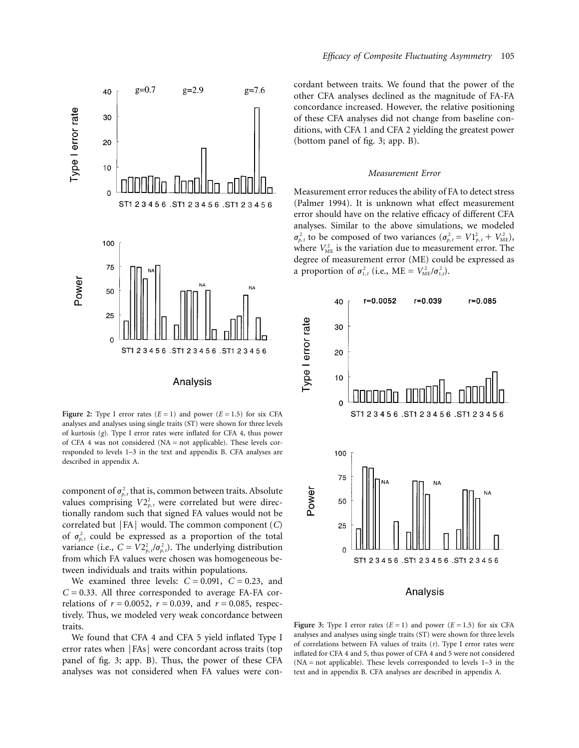

**Figure 2:** Type I error rates  $(E = 1)$  and power  $(E = 1.5)$  for six CFA analyses and analyses using single traits (ST) were shown for three levels of kurtosis (*g*). Type I error rates were inflated for CFA 4, thus power of CFA 4 was not considered ( $NA = not$  applicable). These levels corresponded to levels 1–3 in the text and appendix B. CFA analyses are described in appendix A.

component of  $\sigma_{p,t}^2$  that is, common between traits. Absolute values comprising  $V2_{p,t}^2$  were correlated but were directionally random such that signed FA values would not be correlated but  $|FA|$  would. The common component  $(C)$ of  $\sigma_{p,t}^2$  could be expressed as a proportion of the total variance (i.e.,  $C = V2_{p,t}^2 / \sigma_{p,t}^2$ ). The underlying distribution from which FA values were chosen was homogeneous between individuals and traits within populations.

We examined three levels:  $C = 0.091$ ,  $C = 0.23$ , and *C =* 0.33. All three corresponded to average FA-FA correlations of  $r = 0.0052$ ,  $r = 0.039$ , and  $r = 0.085$ , respectively. Thus, we modeled very weak concordance between traits.

We found that CFA 4 and CFA 5 yield inflated Type I error rates when  $|FAs|$  were concordant across traits (top panel of fig. 3; app. B). Thus, the power of these CFA analyses was not considered when FA values were concordant between traits. We found that the power of the other CFA analyses declined as the magnitude of FA-FA concordance increased. However, the relative positioning of these CFA analyses did not change from baseline conditions, with CFA 1 and CFA 2 yielding the greatest power (bottom panel of fig. 3; app. B).

#### *Measurement Error*

Measurement error reduces the ability of FA to detect stress (Palmer 1994). It is unknown what effect measurement error should have on the relative efficacy of different CFA analyses. Similar to the above simulations, we modeled  $\sigma_{p,t}^2$  to be composed of two variances  $(\sigma_{p,t}^2 = VI_{p,t}^2 + V_{ME}^2)$ , where  $V_{ME}^2$  is the variation due to measurement error. The degree of measurement error (ME) could be expressed as a proportion of  $\sigma_{1,t}^2$  (i.e., ME =  $V_{ME}^2 / \sigma_{1,t}^2$ ).



**Figure 3:** Type I error rates  $(E = 1)$  and power  $(E = 1.5)$  for six CFA analyses and analyses using single traits (ST) were shown for three levels of correlations between FA values of traits (*r*). Type I error rates were inflated for CFA 4 and 5, thus power of CFA 4 and 5 were not considered  $(NA = not applicable)$ . These levels corresponded to levels 1–3 in the text and in appendix B. CFA analyses are described in appendix A.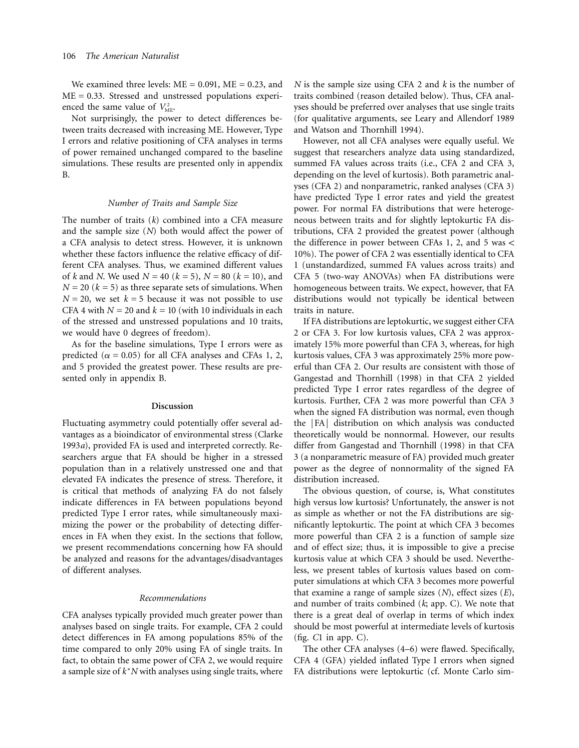We examined three levels:  $ME = 0.091$ ,  $ME = 0.23$ , and  $ME = 0.33$ . Stressed and unstressed populations experienced the same value of  $V_{\text{ME}}^2$ .

Not surprisingly, the power to detect differences between traits decreased with increasing ME. However, Type I errors and relative positioning of CFA analyses in terms of power remained unchanged compared to the baseline simulations. These results are presented only in appendix B.

#### *Number of Traits and Sample Size*

The number of traits (*k*) combined into a CFA measure and the sample size (*N*) both would affect the power of a CFA analysis to detect stress. However, it is unknown whether these factors influence the relative efficacy of different CFA analyses. Thus, we examined different values of *k* and *N*. We used  $N = 40$  ( $k = 5$ ),  $N = 80$  ( $k = 10$ ), and  $N = 20$  ( $k = 5$ ) as three separate sets of simulations. When  $N = 20$ , we set  $k = 5$  because it was not possible to use CFA 4 with  $N = 20$  and  $k = 10$  (with 10 individuals in each of the stressed and unstressed populations and 10 traits, we would have 0 degrees of freedom).

As for the baseline simulations, Type I errors were as predicted ( $\alpha$  = 0.05) for all CFA analyses and CFAs 1, 2, and 5 provided the greatest power. These results are presented only in appendix B.

#### **Discussion**

Fluctuating asymmetry could potentially offer several advantages as a bioindicator of environmental stress (Clarke 1993*a*), provided FA is used and interpreted correctly. Researchers argue that FA should be higher in a stressed population than in a relatively unstressed one and that elevated FA indicates the presence of stress. Therefore, it is critical that methods of analyzing FA do not falsely indicate differences in FA between populations beyond predicted Type I error rates, while simultaneously maximizing the power or the probability of detecting differences in FA when they exist. In the sections that follow, we present recommendations concerning how FA should be analyzed and reasons for the advantages/disadvantages of different analyses.

#### *Recommendations*

CFA analyses typically provided much greater power than analyses based on single traits. For example, CFA 2 could detect differences in FA among populations 85% of the time compared to only 20% using FA of single traits. In fact, to obtain the same power of CFA 2, we would require a sample size of  $k^*N$  with analyses using single traits, where *N* is the sample size using CFA 2 and *k* is the number of traits combined (reason detailed below). Thus, CFA analyses should be preferred over analyses that use single traits (for qualitative arguments, see Leary and Allendorf 1989 and Watson and Thornhill 1994).

However, not all CFA analyses were equally useful. We suggest that researchers analyze data using standardized, summed FA values across traits (i.e., CFA 2 and CFA 3, depending on the level of kurtosis). Both parametric analyses (CFA 2) and nonparametric, ranked analyses (CFA 3) have predicted Type I error rates and yield the greatest power. For normal FA distributions that were heterogeneous between traits and for slightly leptokurtic FA distributions, CFA 2 provided the greatest power (although the difference in power between CFAs 1, 2, and 5 was  $<$ 10%). The power of CFA 2 was essentially identical to CFA 1 (unstandardized, summed FA values across traits) and CFA 5 (two-way ANOVAs) when FA distributions were homogeneous between traits. We expect, however, that FA distributions would not typically be identical between traits in nature.

If FA distributions are leptokurtic, we suggest either CFA 2 or CFA 3. For low kurtosis values, CFA 2 was approximately 15% more powerful than CFA 3, whereas, for high kurtosis values, CFA 3 was approximately 25% more powerful than CFA 2. Our results are consistent with those of Gangestad and Thornhill (1998) in that CFA 2 yielded predicted Type I error rates regardless of the degree of kurtosis. Further, CFA 2 was more powerful than CFA 3 when the signed FA distribution was normal, even though the  $|FA|$  distribution on which analysis was conducted theoretically would be nonnormal. However, our results differ from Gangestad and Thornhill (1998) in that CFA 3 (a nonparametric measure of FA) provided much greater power as the degree of nonnormality of the signed FA distribution increased.

The obvious question, of course, is, What constitutes high versus low kurtosis? Unfortunately, the answer is not as simple as whether or not the FA distributions are significantly leptokurtic. The point at which CFA 3 becomes more powerful than CFA 2 is a function of sample size and of effect size; thus, it is impossible to give a precise kurtosis value at which CFA 3 should be used. Nevertheless, we present tables of kurtosis values based on computer simulations at which CFA 3 becomes more powerful that examine a range of sample sizes (*N*), effect sizes (*E*), and number of traits combined (*k*; app. C). We note that there is a great deal of overlap in terms of which index should be most powerful at intermediate levels of kurtosis (fig. *C*1 in app. C).

The other CFA analyses (4–6) were flawed. Specifically, CFA 4 (GFA) yielded inflated Type I errors when signed FA distributions were leptokurtic (cf. Monte Carlo sim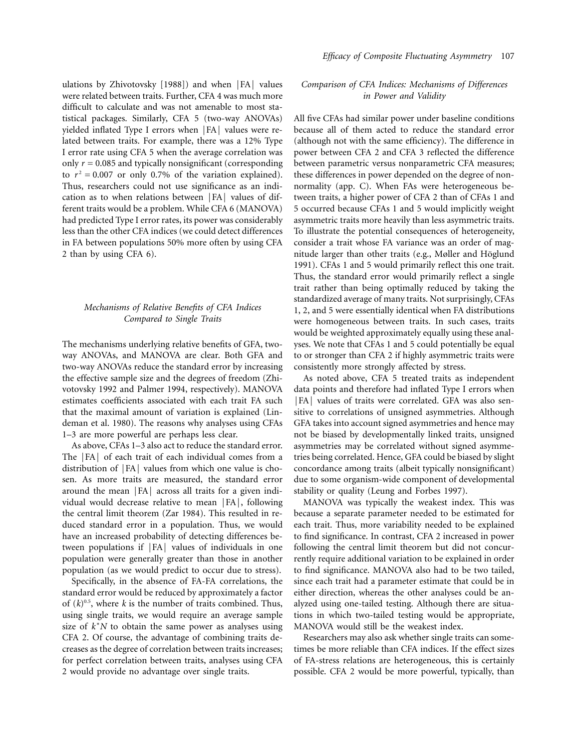ulations by Zhivotovsky  $[1988]$  and when  $|FA|$  values were related between traits. Further, CFA 4 was much more difficult to calculate and was not amenable to most statistical packages. Similarly, CFA 5 (two-way ANOVAs) yielded inflated Type I errors when  $|FA|$  values were related between traits. For example, there was a 12% Type I error rate using CFA 5 when the average correlation was only  $r = 0.085$  and typically nonsignificant (corresponding to  $r^2 = 0.007$  or only 0.7% of the variation explained). Thus, researchers could not use significance as an indication as to when relations between  $|FA|$  values of different traits would be a problem. While CFA 6 (MANOVA) had predicted Type I error rates, its power was considerably less than the other CFA indices (we could detect differences in FA between populations 50% more often by using CFA 2 than by using CFA 6).

# *Mechanisms of Relative Benefits of CFA Indices Compared to Single Traits*

The mechanisms underlying relative benefits of GFA, twoway ANOVAs, and MANOVA are clear. Both GFA and two-way ANOVAs reduce the standard error by increasing the effective sample size and the degrees of freedom (Zhivotovsky 1992 and Palmer 1994, respectively). MANOVA estimates coefficients associated with each trait FA such that the maximal amount of variation is explained (Lindeman et al. 1980). The reasons why analyses using CFAs 1–3 are more powerful are perhaps less clear.

As above, CFAs 1–3 also act to reduce the standard error. The  $|FA|$  of each trait of each individual comes from a distribution of  $|FA|$  values from which one value is chosen. As more traits are measured, the standard error around the mean  $|FA|$  across all traits for a given individual would decrease relative to mean  $|FA|$ , following the central limit theorem (Zar 1984). This resulted in reduced standard error in a population. Thus, we would have an increased probability of detecting differences between populations if  $|FA|$  values of individuals in one population were generally greater than those in another population (as we would predict to occur due to stress).

Specifically, in the absence of FA-FA correlations, the standard error would be reduced by approximately a factor of  $(k)^{0.5}$ , where  $k$  is the number of traits combined. Thus, using single traits, we would require an average sample size of  $k^*N$  to obtain the same power as analyses using CFA 2. Of course, the advantage of combining traits decreases as the degree of correlation between traits increases; for perfect correlation between traits, analyses using CFA 2 would provide no advantage over single traits.

*Comparison of CFA Indices: Mechanisms of Differences in Power and Validity*

All five CFAs had similar power under baseline conditions because all of them acted to reduce the standard error (although not with the same efficiency). The difference in power between CFA 2 and CFA 3 reflected the difference between parametric versus nonparametric CFA measures; these differences in power depended on the degree of nonnormality (app. C). When FAs were heterogeneous between traits, a higher power of CFA 2 than of CFAs 1 and 5 occurred because CFAs 1 and 5 would implicitly weight asymmetric traits more heavily than less asymmetric traits. To illustrate the potential consequences of heterogeneity, consider a trait whose FA variance was an order of magnitude larger than other traits (e.g., Møller and Höglund 1991). CFAs 1 and 5 would primarily reflect this one trait. Thus, the standard error would primarily reflect a single trait rather than being optimally reduced by taking the standardized average of many traits. Not surprisingly, CFAs 1, 2, and 5 were essentially identical when FA distributions were homogeneous between traits. In such cases, traits would be weighted approximately equally using these analyses. We note that CFAs 1 and 5 could potentially be equal to or stronger than CFA 2 if highly asymmetric traits were consistently more strongly affected by stress.

As noted above, CFA 5 treated traits as independent data points and therefore had inflated Type I errors when [FA] values of traits were correlated. GFA was also sensitive to correlations of unsigned asymmetries. Although GFA takes into account signed asymmetries and hence may not be biased by developmentally linked traits, unsigned asymmetries may be correlated without signed asymmetries being correlated. Hence, GFA could be biased by slight concordance among traits (albeit typically nonsignificant) due to some organism-wide component of developmental stability or quality (Leung and Forbes 1997).

MANOVA was typically the weakest index. This was because a separate parameter needed to be estimated for each trait. Thus, more variability needed to be explained to find significance. In contrast, CFA 2 increased in power following the central limit theorem but did not concurrently require additional variation to be explained in order to find significance. MANOVA also had to be two tailed, since each trait had a parameter estimate that could be in either direction, whereas the other analyses could be analyzed using one-tailed testing. Although there are situations in which two-tailed testing would be appropriate, MANOVA would still be the weakest index.

Researchers may also ask whether single traits can sometimes be more reliable than CFA indices. If the effect sizes of FA-stress relations are heterogeneous, this is certainly possible. CFA 2 would be more powerful, typically, than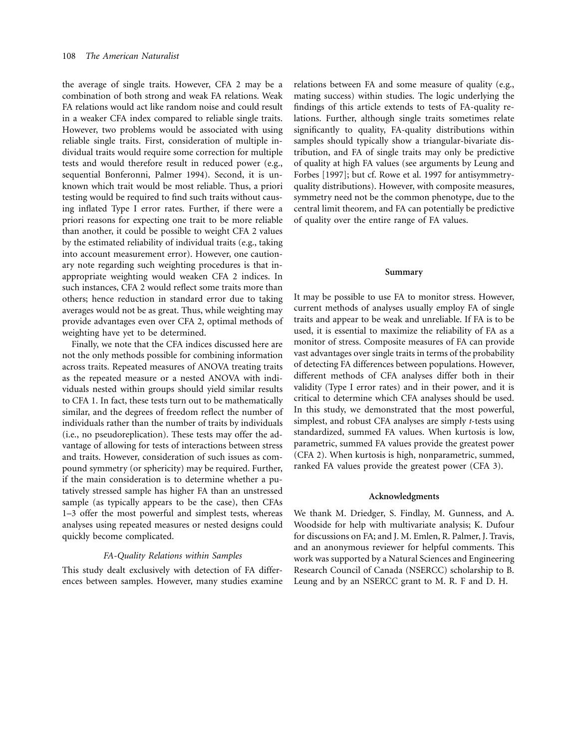the average of single traits. However, CFA 2 may be a combination of both strong and weak FA relations. Weak FA relations would act like random noise and could result in a weaker CFA index compared to reliable single traits. However, two problems would be associated with using reliable single traits. First, consideration of multiple individual traits would require some correction for multiple tests and would therefore result in reduced power (e.g., sequential Bonferonni, Palmer 1994). Second, it is unknown which trait would be most reliable. Thus, a priori testing would be required to find such traits without causing inflated Type I error rates. Further, if there were a priori reasons for expecting one trait to be more reliable than another, it could be possible to weight CFA 2 values by the estimated reliability of individual traits (e.g., taking into account measurement error). However, one cautionary note regarding such weighting procedures is that inappropriate weighting would weaken CFA 2 indices. In such instances, CFA 2 would reflect some traits more than others; hence reduction in standard error due to taking averages would not be as great. Thus, while weighting may provide advantages even over CFA 2, optimal methods of weighting have yet to be determined.

Finally, we note that the CFA indices discussed here are not the only methods possible for combining information across traits. Repeated measures of ANOVA treating traits as the repeated measure or a nested ANOVA with individuals nested within groups should yield similar results to CFA 1. In fact, these tests turn out to be mathematically similar, and the degrees of freedom reflect the number of individuals rather than the number of traits by individuals (i.e., no pseudoreplication). These tests may offer the advantage of allowing for tests of interactions between stress and traits. However, consideration of such issues as compound symmetry (or sphericity) may be required. Further, if the main consideration is to determine whether a putatively stressed sample has higher FA than an unstressed sample (as typically appears to be the case), then CFAs 1–3 offer the most powerful and simplest tests, whereas analyses using repeated measures or nested designs could quickly become complicated.

### *FA-Quality Relations within Samples*

This study dealt exclusively with detection of FA differences between samples. However, many studies examine relations between FA and some measure of quality (e.g., mating success) within studies. The logic underlying the findings of this article extends to tests of FA-quality relations. Further, although single traits sometimes relate significantly to quality, FA-quality distributions within samples should typically show a triangular-bivariate distribution, and FA of single traits may only be predictive of quality at high FA values (see arguments by Leung and Forbes [1997]; but cf. Rowe et al. 1997 for antisymmetryquality distributions). However, with composite measures, symmetry need not be the common phenotype, due to the central limit theorem, and FA can potentially be predictive of quality over the entire range of FA values.

#### **Summary**

It may be possible to use FA to monitor stress. However, current methods of analyses usually employ FA of single traits and appear to be weak and unreliable. If FA is to be used, it is essential to maximize the reliability of FA as a monitor of stress. Composite measures of FA can provide vast advantages over single traits in terms of the probability of detecting FA differences between populations. However, different methods of CFA analyses differ both in their validity (Type I error rates) and in their power, and it is critical to determine which CFA analyses should be used. In this study, we demonstrated that the most powerful, simplest, and robust CFA analyses are simply *t*-tests using standardized, summed FA values. When kurtosis is low, parametric, summed FA values provide the greatest power (CFA 2). When kurtosis is high, nonparametric, summed, ranked FA values provide the greatest power (CFA 3).

#### **Acknowledgments**

We thank M. Driedger, S. Findlay, M. Gunness, and A. Woodside for help with multivariate analysis; K. Dufour for discussions on FA; and J. M. Emlen, R. Palmer, J. Travis, and an anonymous reviewer for helpful comments. This work was supported by a Natural Sciences and Engineering Research Council of Canada (NSERCC) scholarship to B. Leung and by an NSERCC grant to M. R. F and D. H.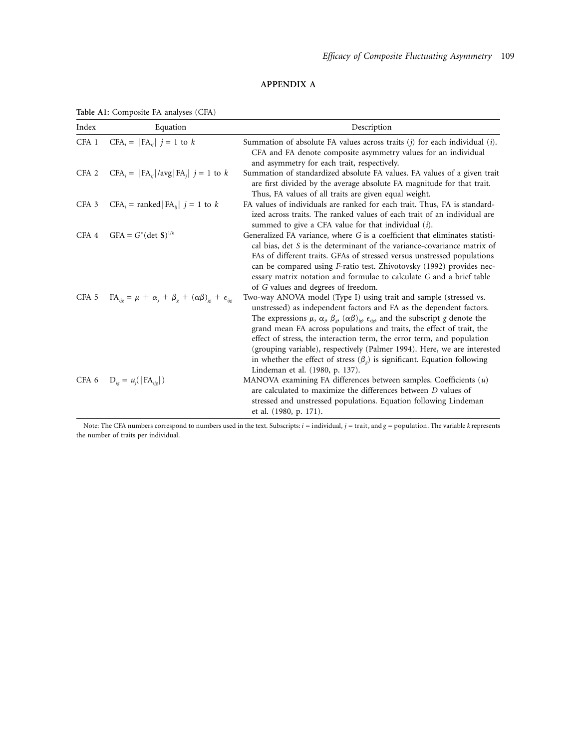# **APPENDIX A**

| Index | Equation                                                                     | Description                                                                                                                                                                                                                                                                                                                                                                                                                                                                                                                                                                                                                     |
|-------|------------------------------------------------------------------------------|---------------------------------------------------------------------------------------------------------------------------------------------------------------------------------------------------------------------------------------------------------------------------------------------------------------------------------------------------------------------------------------------------------------------------------------------------------------------------------------------------------------------------------------------------------------------------------------------------------------------------------|
| CFA 1 | CFA <sub>i</sub> = $ FA_{ij} $ j = 1 to k                                    | Summation of absolute FA values across traits ( <i>j</i> ) for each individual ( <i>i</i> ).<br>CFA and FA denote composite asymmetry values for an individual<br>and asymmetry for each trait, respectively.                                                                                                                                                                                                                                                                                                                                                                                                                   |
| CFA 2 | $CFA_i =  FA_{ij} /avg FA_i  j = 1$ to k                                     | Summation of standardized absolute FA values. FA values of a given trait<br>are first divided by the average absolute FA magnitude for that trait.<br>Thus, FA values of all traits are given equal weight.                                                                                                                                                                                                                                                                                                                                                                                                                     |
| CFA 3 | $CFA_i = \text{ranked }  FA_{ii}  j = 1$ to k                                | FA values of individuals are ranked for each trait. Thus, FA is standard-<br>ized across traits. The ranked values of each trait of an individual are<br>summed to give a CFA value for that individual $(i)$ .                                                                                                                                                                                                                                                                                                                                                                                                                 |
| CFA 4 | $GFA = G^{*}(det S)^{1/k}$                                                   | Generalized FA variance, where G is a coefficient that eliminates statisti-<br>cal bias, det S is the determinant of the variance-covariance matrix of<br>FAs of different traits. GFAs of stressed versus unstressed populations<br>can be compared using $F$ -ratio test. Zhivotovsky (1992) provides nec-<br>essary matrix notation and formulae to calculate G and a brief table<br>of G values and degrees of freedom.                                                                                                                                                                                                     |
| CFA 5 | $FA_{ijg} = \mu + \alpha_j + \beta_g + (\alpha \beta)_{ig} + \epsilon_{ijg}$ | Two-way ANOVA model (Type I) using trait and sample (stressed vs.<br>unstressed) as independent factors and FA as the dependent factors.<br>The expressions $\mu$ , $\alpha_p$ , $\beta_g$ , $(\alpha\beta)_{jg}$ , $\epsilon_{ijg}$ and the subscript g denote the<br>grand mean FA across populations and traits, the effect of trait, the<br>effect of stress, the interaction term, the error term, and population<br>(grouping variable), respectively (Palmer 1994). Here, we are interested<br>in whether the effect of stress $(\beta_{\varrho})$ is significant. Equation following<br>Lindeman et al. (1980, p. 137). |
| CFA 6 | $D_{ig} = u_i ( FA_{ijg} )$                                                  | MANOVA examining FA differences between samples. Coefficients $(u)$<br>are calculated to maximize the differences between D values of<br>stressed and unstressed populations. Equation following Lindeman<br>et al. (1980, p. 171).                                                                                                                                                                                                                                                                                                                                                                                             |

**Table A1:** Composite FA analyses (CFA)

Note: The CFA numbers correspond to numbers used in the text. Subscripts:  $i =$  individual,  $j =$  trait, and  $g =$  population. The variable *k* represents the number of traits per individual.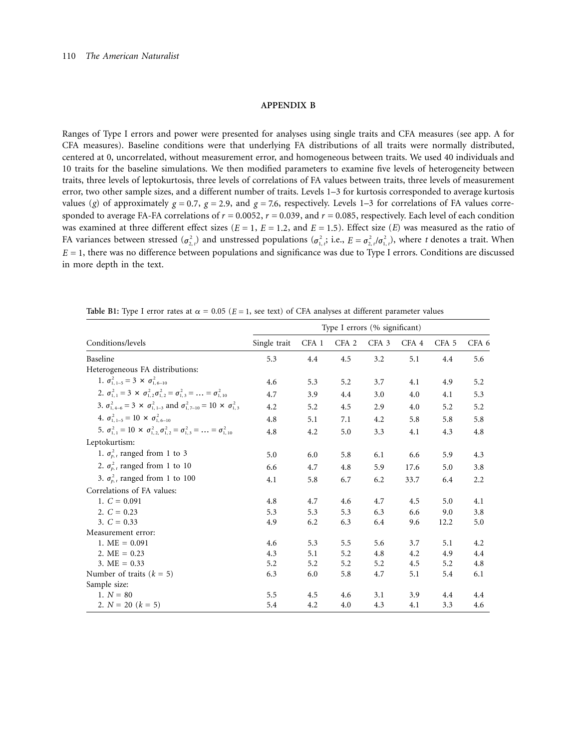# **APPENDIX B**

Ranges of Type I errors and power were presented for analyses using single traits and CFA measures (see app. A for CFA measures). Baseline conditions were that underlying FA distributions of all traits were normally distributed, centered at 0, uncorrelated, without measurement error, and homogeneous between traits. We used 40 individuals and 10 traits for the baseline simulations. We then modified parameters to examine five levels of heterogeneity between traits, three levels of leptokurtosis, three levels of correlations of FA values between traits, three levels of measurement error, two other sample sizes, and a different number of traits. Levels 1–3 for kurtosis corresponded to average kurtosis values (*g*) of approximately  $g = 0.7$ ,  $g = 2.9$ , and  $g = 7.6$ , respectively. Levels 1–3 for correlations of FA values corresponded to average FA-FA correlations of  $r = 0.0052$ ,  $r = 0.039$ , and  $r = 0.085$ , respectively. Each level of each condition was examined at three different effect sizes ( $E = 1$ ,  $E = 1.2$ , and  $E = 1.5$ ). Effect size ( $E$ ) was measured as the ratio of FA variances between stressed ( $\sigma_{2,t}^2$ ) and unstressed populations ( $\sigma_{1,t}^2$ ; i.e.,  $E = \sigma_{2,t}^2 / \sigma_{1,t}^2$ ), where *t* denotes a trait. When *E =* 1, there was no difference between populations and significance was due to Type I errors. Conditions are discussed in more depth in the text.

Table B1: Type I error rates at  $\alpha = 0.05$  ( $E = 1$ , see text) of CFA analyses at different parameter values

|                                                                                                          |              | Type I errors (% significant) |       |                  |       |                  |                  |  |  |
|----------------------------------------------------------------------------------------------------------|--------------|-------------------------------|-------|------------------|-------|------------------|------------------|--|--|
| Conditions/levels                                                                                        | Single trait | CFA 1                         | CFA 2 | CFA <sub>3</sub> | CFA 4 | CFA <sub>5</sub> | CFA <sub>6</sub> |  |  |
| Baseline                                                                                                 | 5.3          | 4.4                           | 4.5   | 3.2              | 5.1   | 4.4              | 5.6              |  |  |
| Heterogeneous FA distributions:                                                                          |              |                               |       |                  |       |                  |                  |  |  |
| 1. $\sigma_{1,1-5}^2 = 3 \times \sigma_{1,6-10}^2$                                                       | 4.6          | 5.3                           | 5.2   | 3.7              | 4.1   | 4.9              | 5.2              |  |  |
| 2. $\sigma_{1,1}^2 = 3 \times \sigma_{1,2}^2 \sigma_{1,2}^2 = \sigma_{1,3}^2 = \ldots = \sigma_{1,10}^2$ | 4.7          | 3.9                           | 4.4   | 3.0              | 4.0   | 4.1              | 5.3              |  |  |
| 3. $\sigma_{1.4-6}^2 = 3 \times \sigma_{1,1-3}^2$ and $\sigma_{1,7-10}^2 = 10 \times \sigma_{1,3}^2$     | 4.2          | 5.2                           | 4.5   | 2.9              | 4.0   | 5.2              | 5.2              |  |  |
| 4. $\sigma_{1,1-5}^2 = 10 \times \sigma_{1,6-10}^2$                                                      | 4.8          | 5.1                           | 7.1   | 4.2              | 5.8   | 5.8              | 5.8              |  |  |
| 5. $\sigma_{1,1}^2 = 10 \times \sigma_{1,2}^2 \sigma_{1,2}^2 = \sigma_{1,3}^2 = \dots = \sigma_{1,10}^2$ | 4.8          | 4.2                           | 5.0   | 3.3              | 4.1   | 4.3              | 4.8              |  |  |
| Leptokurtism:                                                                                            |              |                               |       |                  |       |                  |                  |  |  |
| 1. $\sigma_{p,t}^2$ ranged from 1 to 3                                                                   | 5.0          | 6.0                           | 5.8   | 6.1              | 6.6   | 5.9              | 4.3              |  |  |
| 2. $\sigma_{p,t}^2$ ranged from 1 to 10                                                                  | 6.6          | 4.7                           | 4.8   | 5.9              | 17.6  | 5.0              | 3.8              |  |  |
| 3. $\sigma_{p,t}^2$ ranged from 1 to 100                                                                 | 4.1          | 5.8                           | 6.7   | 6.2              | 33.7  | 6.4              | 2.2              |  |  |
| Correlations of FA values:                                                                               |              |                               |       |                  |       |                  |                  |  |  |
| 1. $C = 0.091$                                                                                           | 4.8          | 4.7                           | 4.6   | 4.7              | 4.5   | 5.0              | 4.1              |  |  |
| 2. $C = 0.23$                                                                                            | 5.3          | 5.3                           | 5.3   | 6.3              | 6.6   | 9.0              | 3.8              |  |  |
| 3. $C = 0.33$                                                                                            | 4.9          | 6.2                           | 6.3   | 6.4              | 9.6   | 12.2             | 5.0              |  |  |
| Measurement error:                                                                                       |              |                               |       |                  |       |                  |                  |  |  |
| 1. $ME = 0.091$                                                                                          | 4.6          | 5.3                           | 5.5   | 5.6              | 3.7   | 5.1              | 4.2              |  |  |
| 2. $ME = 0.23$                                                                                           | 4.3          | 5.1                           | 5.2   | 4.8              | 4.2   | 4.9              | 4.4              |  |  |
| 3. $ME = 0.33$                                                                                           | 5.2          | 5.2                           | 5.2   | 5.2              | 4.5   | 5.2              | 4.8              |  |  |
| Number of traits $(k = 5)$                                                                               | 6.3          | 6.0                           | 5.8   | 4.7              | 5.1   | 5.4              | 6.1              |  |  |
| Sample size:                                                                                             |              |                               |       |                  |       |                  |                  |  |  |
| 1. $N = 80$                                                                                              | 5.5          | 4.5                           | 4.6   | 3.1              | 3.9   | 4.4              | 4.4              |  |  |
| 2. $N = 20 (k = 5)$                                                                                      | 5.4          | 4.2                           | 4.0   | 4.3              | 4.1   | 3.3              | 4.6              |  |  |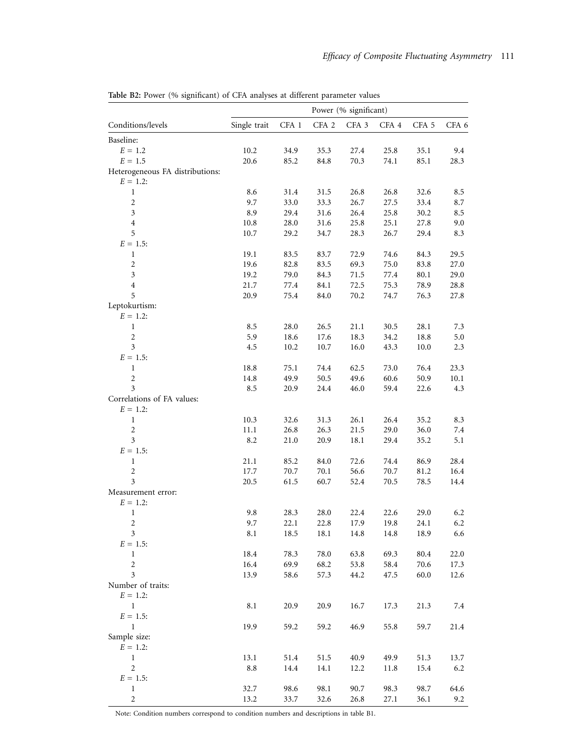|                                                | Power (% significant) |       |                  |       |               |       |       |  |
|------------------------------------------------|-----------------------|-------|------------------|-------|---------------|-------|-------|--|
| Conditions/levels                              | Single trait          | CFA 1 | CFA <sub>2</sub> | CFA 3 | ${\rm CFA}$ 4 | CFA 5 | CFA 6 |  |
| Baseline:                                      |                       |       |                  |       |               |       |       |  |
| $E = 1.2$                                      | 10.2                  | 34.9  | 35.3             | 27.4  | 25.8          | 35.1  | 9.4   |  |
| $E = 1.5$                                      | 20.6                  | 85.2  | 84.8             | 70.3  | 74.1          | 85.1  | 28.3  |  |
| Heterogeneous FA distributions:<br>$E = 1.2$ : |                       |       |                  |       |               |       |       |  |
| $\mathbf{1}$                                   | 8.6                   | 31.4  | 31.5             | 26.8  | 26.8          | 32.6  | 8.5   |  |
| $\overline{c}$                                 | 9.7                   | 33.0  | 33.3             | 26.7  | 27.5          | 33.4  | 8.7   |  |
| 3                                              | 8.9                   | 29.4  | 31.6             | 26.4  | 25.8          | 30.2  | 8.5   |  |
| $\overline{4}$                                 | 10.8                  | 28.0  | 31.6             | 25.8  | 25.1          | 27.8  | 9.0   |  |
| 5                                              | 10.7                  | 29.2  | 34.7             | 28.3  | 26.7          | 29.4  | 8.3   |  |
| $E = 1.5$ :                                    |                       |       |                  |       |               |       |       |  |
| $\mathbf{1}$                                   | 19.1                  | 83.5  | 83.7             | 72.9  | 74.6          | 84.3  | 29.5  |  |
| $\overline{c}$                                 | 19.6                  | 82.8  | 83.5             | 69.3  | 75.0          | 83.8  | 27.0  |  |
| 3                                              | 19.2                  | 79.0  | 84.3             | 71.5  | 77.4          | 80.1  | 29.0  |  |
| $\bf 4$                                        | 21.7                  | 77.4  | 84.1             | 72.5  | 75.3          | 78.9  | 28.8  |  |
| 5                                              | 20.9                  | 75.4  | 84.0             | 70.2  | 74.7          | 76.3  | 27.8  |  |
| Leptokurtism:<br>$E = 1.2$ :                   |                       |       |                  |       |               |       |       |  |
| $\mathbf{1}$                                   | 8.5                   | 28.0  | 26.5             | 21.1  | 30.5          | 28.1  | 7.3   |  |
| $\overline{2}$                                 | 5.9                   | 18.6  | 17.6             | 18.3  | 34.2          | 18.8  | 5.0   |  |
| 3                                              | 4.5                   | 10.2  | 10.7             | 16.0  | 43.3          | 10.0  | 2.3   |  |
| $E = 1.5$ :                                    |                       |       |                  |       |               |       |       |  |
| $\mathbf{1}$                                   | 18.8                  | 75.1  | 74.4             | 62.5  | 73.0          | 76.4  | 23.3  |  |
| $\sqrt{2}$                                     | 14.8                  | 49.9  | 50.5             | 49.6  | 60.6          | 50.9  | 10.1  |  |
| 3                                              | 8.5                   | 20.9  | 24.4             | 46.0  | 59.4          | 22.6  | 4.3   |  |
| Correlations of FA values:<br>$E = 1.2$ :      |                       |       |                  |       |               |       |       |  |
| $\mathbf{1}$                                   | 10.3                  | 32.6  | 31.3             | 26.1  | 26.4          | 35.2  | 8.3   |  |
| $\sqrt{2}$                                     | 11.1                  | 26.8  | 26.3             | 21.5  | 29.0          | 36.0  | 7.4   |  |
| 3                                              | 8.2                   | 21.0  | 20.9             | 18.1  | 29.4          | 35.2  | 5.1   |  |
| $E = 1.5$ :                                    |                       |       |                  |       |               |       |       |  |
| $\mathbf{1}$                                   | 21.1                  | 85.2  | 84.0             | 72.6  | 74.4          | 86.9  | 28.4  |  |
| $\sqrt{2}$                                     | 17.7                  | 70.7  | 70.1             | 56.6  | 70.7          | 81.2  | 16.4  |  |
| 3                                              | 20.5                  | 61.5  | 60.7             | 52.4  | 70.5          | 78.5  | 14.4  |  |
| Measurement error:                             |                       |       |                  |       |               |       |       |  |
| $E = 1.2$ :                                    |                       |       |                  |       |               |       |       |  |
| 1                                              | 9.8                   | 28.3  | 28.0             | 22.4  | 22.6          | 29.0  | 6.2   |  |
| $\overline{c}$                                 | 9.7                   | 22.1  | 22.8             | 17.9  | 19.8          | 24.1  | 6.2   |  |
| 3                                              | 8.1                   | 18.5  | 18.1             | 14.8  | 14.8          | 18.9  | 6.6   |  |
| $E = 1.5$ :                                    |                       |       |                  |       |               |       |       |  |
| $\mathbf{1}$                                   | 18.4                  | 78.3  | 78.0             | 63.8  | 69.3          | 80.4  | 22.0  |  |
| $\sqrt{2}$                                     | 16.4                  | 69.9  | 68.2             | 53.8  | 58.4          | 70.6  | 17.3  |  |
| 3                                              | 13.9                  | 58.6  | 57.3             | 44.2  | 47.5          | 60.0  | 12.6  |  |
| Number of traits:<br>$E = 1.2$ :               |                       |       |                  |       |               |       |       |  |
| $\mathbf{1}$                                   | 8.1                   | 20.9  | 20.9             | 16.7  | 17.3          | 21.3  | 7.4   |  |
| $E = 1.5$ :                                    |                       |       |                  |       |               |       |       |  |
| $\,1$                                          | 19.9                  | 59.2  | 59.2             | 46.9  | 55.8          | 59.7  | 21.4  |  |
| Sample size:<br>$E = 1.2$ :                    |                       |       |                  |       |               |       |       |  |
| $\mathbf{1}$                                   | 13.1                  | 51.4  | 51.5             | 40.9  | 49.9          | 51.3  | 13.7  |  |
| $\sqrt{2}$                                     | 8.8                   | 14.4  | 14.1             | 12.2  | 11.8          | 15.4  | 6.2   |  |
| $E = 1.5$ :                                    |                       |       |                  |       |               |       |       |  |
| $\mathbf{1}$                                   | 32.7                  | 98.6  | 98.1             | 90.7  | 98.3          | 98.7  | 64.6  |  |
| $\overline{c}$                                 | 13.2                  | 33.7  | 32.6             | 26.8  | 27.1          | 36.1  | 9.2   |  |

**Table B2:** Power (% significant) of CFA analyses at different parameter values

Note: Condition numbers correspond to condition numbers and descriptions in table B1.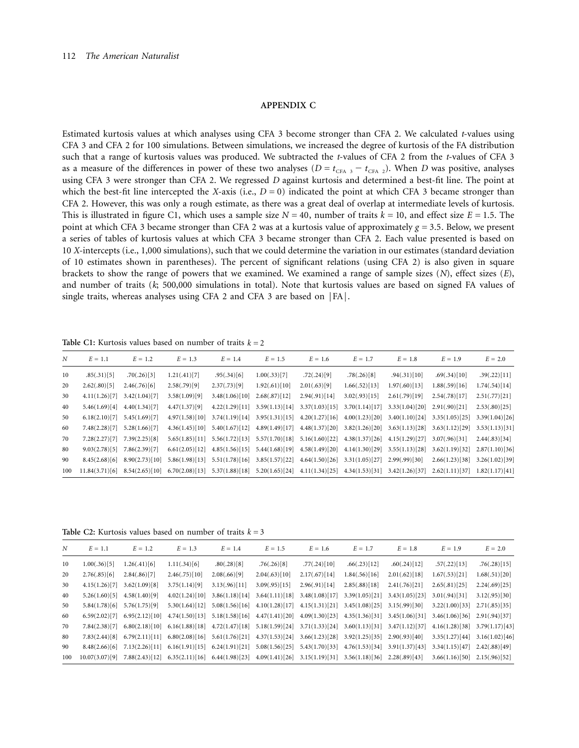## **APPENDIX C**

Estimated kurtosis values at which analyses using CFA 3 become stronger than CFA 2. We calculated *t*-values using CFA 3 and CFA 2 for 100 simulations. Between simulations, we increased the degree of kurtosis of the FA distribution such that a range of kurtosis values was produced. We subtracted the *t*-values of CFA 2 from the *t*-values of CFA 3 as a measure of the differences in power of these two analyses  $(D = t_{CFA-3} - t_{CFA-2})$ . When *D* was positive, analyses using CFA 3 were stronger than CFA 2. We regressed *D* against kurtosis and determined a best-fit line. The point at which the best-fit line intercepted the *X*-axis (i.e.,  $D = 0$ ) indicated the point at which CFA 3 became stronger than CFA 2. However, this was only a rough estimate, as there was a great deal of overlap at intermediate levels of kurtosis. This is illustrated in figure C1, which uses a sample size  $N = 40$ , number of traits  $k = 10$ , and effect size  $E = 1.5$ . The point at which CFA 3 became stronger than CFA 2 was at a kurtosis value of approximately  $g = 3.5$ . Below, we present a series of tables of kurtosis values at which CFA 3 became stronger than CFA 2. Each value presented is based on 10 *X*-intercepts (i.e., 1,000 simulations), such that we could determine the variation in our estimates (standard deviation of 10 estimates shown in parentheses). The percent of significant relations (using CFA 2) is also given in square brackets to show the range of powers that we examined. We examined a range of sample sizes (*N*), effect sizes (*E*), and number of traits (*k*; 500,000 simulations in total). Note that kurtosis values are based on signed FA values of single traits, whereas analyses using CFA 2 and CFA 3 are based on  $|FA|$ .

**Table C1:** Kurtosis values based on number of traits  $k = 2$ 

| N   | $E = 1.1$     | $E = 1.2$                         | $E = 1.3$      | $E = 1.4$      | $E = 1.5$                                          | $E = 1.6$                         | $E = 1.7$      | $E = 1.8$      | $E = 1.9$        | $E = 2.0$      |
|-----|---------------|-----------------------------------|----------------|----------------|----------------------------------------------------|-----------------------------------|----------------|----------------|------------------|----------------|
| 10  | .85(.31)[5]   | .70(.26)[3]                       | 1.21(.41)[7]   | .95(.34)[6]    | 1.00(.33)[7]                                       | .72(.24)[9]                       | .78(.26)[8]    | .94(.31)[10]   | .69(.34)[10]     | .39(.22)[11]   |
| 20  | 2.62(.80)[5]  | 2.46(.76)[6]                      | 2.58(.79)[9]   | 2.37(.73)[9]   | 1.92(.61)[10]                                      | 2.01(.63)[9]                      | 1.66(.52)[13]  | 1.97(.60)[13]  | 1.88(.59)[16]    | 1.74(.54)[14]  |
| 30  | 4.11(1.26)[7] | 3.42(1.04)[7]                     | 3.58(1.09)[9]  | 3.48(1.06)[10] | 2.68(.87)[12]                                      | 2.94(.91)[14]                     | 3.02(.93)[15]  | 2.61(.79)[19]  | 2.54(.78)[17]    | 2.51(.77)[21]  |
| 40  | 5.46(1.69)[4] | 4.40(1.34)[7]                     | 4.47(1.37)[9]  | 4.22(1.29)[11] | 3.59(1.13)[14]                                     | 3.37(1.03)[15]                    | 3.70(1.14)[17] | 3.33(1.04)[20] | $2.91(.90)$ [21] | 2.53(.80)[25]  |
| 50  | 6.18(2.10)[7] | 5.45(1.69)[7]                     | 4.97(1.58)[10] | 3.74(1.19)[14] | 3.95(1.31)[15]                                     | 4.20(1.27)[16]                    | 4.00(1.23)[20] | 3.40(1.10)[24] | 3.35(1.05)[25]   | 3.39(1.04)[26] |
| 60  | 7.48(2.28)[7] | 5.28(1.66)[7]                     | 4.36(1.45)[10] | 5.40(1.67)[12] | 4.89(1.49)[17]                                     | 4.48(1.37)[20]                    | 3.82(1.26)[20] | 3.63(1.13)[28] | 3.63(1.12)[29]   | 3.53(1.13)[31] |
| 70  | 7.28(2.27)[7] | 7.39(2.25)[8]                     | 5.65(1.85)[11] | 5.56(1.72)[13] |                                                    | $5.57(1.70)[18]$ $5.16(1.60)[22]$ | 4.38(1.37)[26] | 4.15(1.29)[27] | 3.07(.96)[31]    | 2.44(.83)[34]  |
| 80  | 9.03(2.78)[5] | 7.86(2.39)[7]                     | 6.61(2.05)[12] | 4.85(1.56)[15] | 5.44(1.68)[19]                                     | 4.58(1.49)[20]                    | 4.14(1.30)[29] | 3.55(1.13)[28] | 3.62(1.19)[32]   | 2.87(1.10)[36] |
| 90  | 8.45(2.68)[6] | 8.90(2.73)[10]                    | 5.86(1.98)[13] | 5.51(1.78)[16] | 3.85(1.57)[22]                                     | 4.64(1.50)[26]                    | 3.31(1.05)[27] | 2.99(.99)[30]  | 2.66(1.23)[38]   | 3.26(1.02)[39] |
| 100 |               | $11.84(3.71)[6]$ $8.54(2.65)[10]$ | 6.70(2.08)[13] | 5.37(1.88)[18] | $5.20(1.65)[24]$ $4.11(1.34)[25]$ $4.34(1.53)[31]$ |                                   |                | 3.42(1.26)[37] | 2.62(1.11)[37]   | 1.82(1.17)[41] |

**Table C2:** Kurtosis values based on number of traits *k =* 3

| N   | $E = 1.1$      | $E = 1.2$        | $E = 1.3$      | $E = 1.4$      | $E = 1.5$                                                           | $E = 1.6$                         | $E = 1.7$      | $E = 1.8$      | $E = 1.9$         | $E = 2.0$        |
|-----|----------------|------------------|----------------|----------------|---------------------------------------------------------------------|-----------------------------------|----------------|----------------|-------------------|------------------|
| 10  | 1.00(.36)[5]   | 1.26(.41)[6]     | 1.11(.34)[6]   | .80(.28)[8]    | .76(.26)[8]                                                         | .77(.24)[10]                      | .66(.23)[12]   | .60(.24)[12]   | .57(.22)[13]      | .76(.28)[15]     |
| 20  | 2.76(.85)[6]   | 2.84(.86)[7]     | 2.46(.75)[10]  | 2.08(.66)[9]   | 2.04(.63)[10]                                                       | 2.17(.67)[14]                     | 1.84(.56)[16]  | 2.01(.62)[18]  | 1.67(.53)[21]     | 1.68(.51)[20]    |
| 30  | 4.15(1.26)[7]  | $3.62(1.09)$ [8] | 3.75(1.14)[9]  | 3.13(.96)[11]  | 3.09(.95)[15]                                                       | 2.96(.91)[14]                     | 2.85(.88)[18]  | 2.41(.76)[21]  | 2.65(.81)[25]     | 2.24(.69)[25]    |
| 40  | 5.26(1.60)[5]  | 4.58(1.40)[9]    | 4.02(1.24)[10] | 3.86(1.18)[14] | 3.64(1.11)[18]                                                      | 3.48(1.08)[17]                    | 3.39(1.05)[21] | 3.43(1.05)[23] | 3.01(.94)[31]     | 3.12(.95)[30]    |
| 50  | 5.84(1.78)[6]  | 5.76(1.75)[9]    | 5.30(1.64)[12] | 5.08(1.56)[16] | 4.10(1.28)[17]                                                      | 4.15(1.31)[21]                    | 3.45(1.08)[25] | 3.15(.99)[30]  | 3.22(1.00)[33]    | 2.71(.85)[35]    |
| 60  | 6.59(2.02)[7]  | 6.95(2.12)[10]   | 4.74(1.50)[13] | 5.18(1.58)[16] | 4.47(1.41)[20]                                                      | $4.09(1.30)[23]$ $4.35(1.36)[31]$ |                | 3.45(1.06)[31] | 3.46(1.06)[36]    | 2.91(.94)[37]    |
| 70  | 7.84(2.38)[7]  | 6.80(2.18)[10]   | 6.16(1.88)[18] |                | $4.72(1.47)[18]$ $5.18(1.59)[24]$ $3.71(1.33)[24]$ $3.60(1.13)[31]$ |                                   |                | 3.47(1.12)[37] | $4.16(1.28)$ [38] | 3.79(1.17)[43]   |
| 80  | 7.83(2.44)[8]  | 6.79(2.11)[11]   | 6.80(2.08)[16] | 5.61(1.76)[21] | $4.37(1.53)[24]$ $3.66(1.23)[28]$                                   |                                   | 3.92(1.25)[35] | 2.90(.93)[40]  | 3.35(1.27)[44]    | 3.16(1.02)[46]   |
| 90  | 8.48(2.66)[6]  | 7.13(2.26)[11]   | 6.16(1.91)[15] | 6.24(1.91)[21] | 5.08(1.56)[25]                                                      | 5.43(1.70)[33]                    | 4.76(1.53)[34] | 3.91(1.37)[43] | 3.34(1.15)[47]    | 2.42(.88)[49]    |
| 100 | 10.07(3.07)[9] | 7.88(2.43)[12]   | 6.35(2.11)[16] | 6.44(1.98)[23] | 4.09(1.41)[26]                                                      | $3.15(1.19)[31]$ $3.56(1.18)[36]$ |                | 2.28(.89)[43]  | 3.66(1.16)[50]    | $2.15(.96)$ [52] |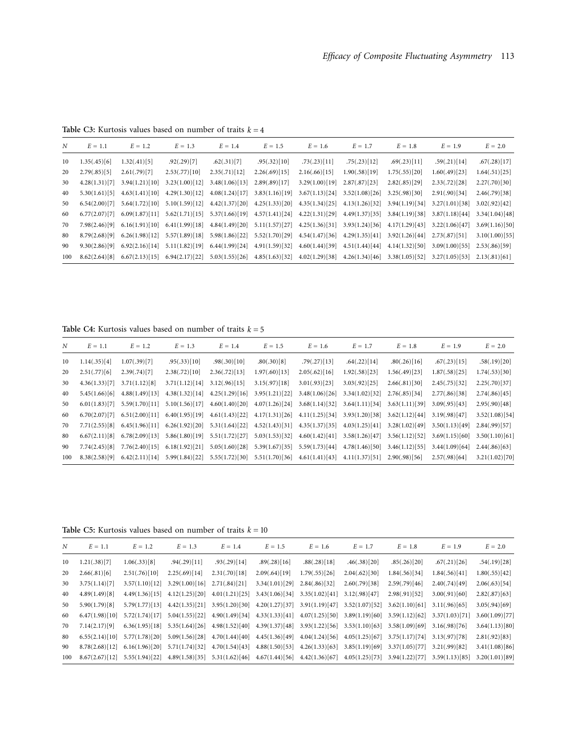**Table C3:** Kurtosis values based on number of traits  $k = 4$ 

| N   | $E = 1.1$     | $E = 1.2$      | $E = 1.3$      | $E = 1.4$      | $E = 1.5$      | $E = 1.6$                         | $E = 1.7$      | $E = 1.8$      | $E = 1.9$         | $E = 2.0$        |
|-----|---------------|----------------|----------------|----------------|----------------|-----------------------------------|----------------|----------------|-------------------|------------------|
| 10  | 1.35(.45)[6]  | 1.32(.41)[5]   | .92(.29)[7]    | .62(.31)[7]    | .95(.32)[10]   | .73(.23)[11]                      | .75(.23)[12]   | .69(.23)[11]   | .59(.21)[14]      | .67(.28)[17]     |
| 20  | 2.79(.85)[5]  | 2.61(.79)[7]   | 2.53(.77)[10]  | 2.35(.71)[12]  | 2.26(.69)[15]  | 2.16(.66)[15]                     | 1.90(.58)[19]  | 1.75(.55)[20]  | 1.60(.49)[23]     | 1.64(.51)[25]    |
| 30  | 4.28(1.31)[7] | 3.94(1.21)[10] | 3.23(1.00)[12] | 3.48(1.06)[13] | 2.89(.89)[17]  | 3.29(1.00)[19]                    | 2.87(.87)[23]  | 2.82(.85)[29]  | 2.33(.72)[28]     | 2.27(.70)[30]    |
| 40  | 5.30(1.61)[5] | 4.63(1.41)[10] | 4.29(1.30)[12] | 4.08(1.24)[17] | 3.83(1.16)[19] | 3.67(1.13)[24]                    | 3.52(1.08)[26] | 3.25(.98)[30]  | 2.91(.90)[34]     | 2.46(.79)[38]    |
| 50  | 6.54(2.00)[7] | 5.64(1.72)[10] | 5.10(1.59)[12] | 4.42(1.37)[20] | 4.25(1.33)[20] | 4.35(1.34)[25]                    | 4.13(1.26)[32] | 3.94(1.19)[34] | 3.27(1.01)[38]    | 3.02(.92)[42]    |
| 60  | 6.77(2.07)[7] | 6.09(1.87)[11] | 5.62(1.71)[15] | 5.37(1.66)[19] | 4.57(1.41)[24] | 4.22(1.31)[29]                    | 4.49(1.37)[35] | 3.84(1.19)[38] | 3.87(1.18)[44]    | 3.34(1.04)[48]   |
| 70  | 7.98(2.46)[9] | 6.16(1.91)[10] | 6.41(1.99)[18] | 4.84(1.49)[20] | 5.11(1.57)[27] | 4.25(1.36)[31]                    | 3.93(1.24)[36] | 4.17(1.29)[43] | 3.22(1.06)[47]    | 3.69(1.16)[50]   |
| 80  | 8.79(2.68)[9] | 6.26(1.98)[12] | 5.57(1.89)[18] | 5.98(1.86)[22] |                | $5.52(1.70)[29]$ $4.54(1.47)[36]$ | 4.29(1.35)[41] | 3.92(1.26)[44] | 2.73(.87)[51]     | 3.10(1.00)[55]   |
| 90  | 9.30(2.86)[9] | 6.92(2.16)[14] | 5.11(1.82)[19] | 6.44(1.99)[24] | 4.91(1.59)[32] | 4.60(1.44)[39]                    | 4.51(1.44)[44] | 4.14(1.32)[50] | 3.09(1.00)[55]    | $2.53(.86)$ [59] |
| 100 | 8.62(2.64)[8] | 6.67(2.13)[15] | 6.94(2.17)[22] | 5.03(1.55)[26] |                | $4.85(1.63)[32]$ $4.02(1.29)[38]$ | 4.26(1.34)[46] | 3.38(1.05)[52] | $3.27(1.05)$ [53] | 2.13(.81)[61]    |

**Table C4:** Kurtosis values based on number of traits *k =* 5

| N   | $E = 1.1$     | $E = 1.2$      | $E = 1.3$      | $E = 1.4$      | $E = 1.5$      | $E = 1.6$      | $E = 1.7$      | $E = 1.8$        | $E = 1.9$         | $E = 2.0$      |
|-----|---------------|----------------|----------------|----------------|----------------|----------------|----------------|------------------|-------------------|----------------|
| 10  | 1.14(.35)[4]  | 1.07(.39)[7]   | .95(.33)[10]   | .98(.30)[10]   | .80(.30)[8]    | .79(.27)[13]   | .64(.22)[14]   | .80(.26)[16]     | .67(.23)[15]      | .58(.19)[20]   |
| 20  | 2.51(.77)[6]  | 2.39(.74)[7]   | 2.38(.72)[10]  | 2.36(.72)[13]  | 1.97(.60)[13]  | 2.05(.62)[16]  | 1.92(.58)[23]  | 1.56(.49)[23]    | 1.87(.58)[25]     | 1.74(.53)[30]  |
| 30  | 4.36(1.33)[7] | 3.71(1.12)[8]  | 3.71(1.12)[14] | 3.12(.96)[15]  | 3.15(.97)[18]  | 3.01(.93)[23]  | 3.03(.92)[25]  | 2.66(.81)[30]    | 2.45(.75)[32]     | 2.25(.70)[37]  |
| 40  | 5.45(1.66)[6] | 4.88(1.49)[13] | 4.38(1.32)[14] | 4.25(1.29)[16] | 3.95(1.21)[22] | 3.48(1.06)[26] | 3.34(1.02)[32] | 2.76(.85)[34]    | 2.77(.86)[38]     | 2.74(.86)[45]  |
| 50  | 6.01(1.83)[7] | 5.59(1.70)[11] | 5.10(1.56)[17] | 4.60(1.40)[20] | 4.07(1.26)[24] | 3.68(1.14)[32] | 3.64(1.11)[34] | 3.63(1.11)[39]   | 3.09(.95)[43]     | 2.95(.90)[48]  |
| 60  | 6.70(2.07)[7] | 6.51(2.00)[11] | 6.40(1.95)[19] | 4.61(1.43)[22] | 4.17(1.31)[26] | 4.11(1.25)[34] | 3.93(1.20)[38] | 3.62(1.12)[44]   | 3.19(.98)[47]     | 3.52(1.08)[54] |
| 70  | 7.71(2.55)[8] | 6.45(1.96)[11] | 6.26(1.92)[20] | 5.31(1.64)[22] | 4.52(1.43)[31] | 4.35(1.37)[35] | 4.03(1.25)[41] | 3.28(1.02)[49]   | 3.50(1.13)[49]    | 2.84(.99)[57]  |
| 80  | 6.67(2.11)[8] | 6.78(2.09)[13] | 5.86(1.80)[19] | 5.51(1.72)[27] | 5.03(1.53)[32] | 4.60(1.42)[41] | 3.58(1.26)[47] | 3.56(1.12)[52]   | 3.69(1.15)[60]    | 3.50(1.10)[61] |
| 90  | 7.74(2.45)[8] | 7.76(2.40)[15] | 6.18(1.92)[21] | 5.05(1.60)[28] | 5.39(1.67)[35] | 5.59(1.73)[44] | 4.78(1.46)[50] | 3.46(1.12)[55]   | $3.44(1.09)$ [64] | 2.44(.86)[63]  |
| 100 | 8.38(2.58)[9] | 6.42(2.11)[14] | 5.99(1.84)[22] | 5.55(1.72)[30] | 5.51(1.70)[36] | 4.61(1.41)[43] | 4.11(1.37)[51] | $2.90(.98)$ [56] | 2.57(.98)[64]     | 3.21(1.02)[70] |

**Table C5:** Kurtosis values based on number of traits *k =* 10

| N   | $E = 1.1$      | $E = 1.2$      | $E = 1.3$      | $E = 1.4$      | $E = 1.5$                                          | $E = 1.6$      | $E = 1.7$      | $E = 1.8$                        | $E = 1.9$      | $E = 2.0$      |
|-----|----------------|----------------|----------------|----------------|----------------------------------------------------|----------------|----------------|----------------------------------|----------------|----------------|
| 10  | 1.21(.38)[7]   | 1.06(.33)[8]   | .94(.29)[11]   | .93(.29)[14]   | .89(.28)[16]                                       | .88(.28)[18]   | .46(.38)[20]   | .85(.26)[20]                     | .67(.21)[26]   | .54(.19)[28]   |
| 20  | 2.66(.81)[6]   | 2.51(.76)[10]  | 2.25(.69)[14]  | 2.31(.70)[18]  | 2.09(.64)[19]                                      | 1.79(.55)[26]  | 2.04(.62)[30]  | 1.84(.56)[34]                    | 1.84(.56)[41]  | 1.80(.55)[42]  |
| 30  | 3.75(1.14)[7]  | 3.57(1.10)[12] | 3.29(1.00)[16] | 2.71(.84)[21]  | 3.34(1.01)[29]                                     | 2.84(.86)[32]  | 2.60(.79)[38]  | 2.59(.79)[46]                    | 2.40(.74)[49]  | 2.06(.63)[54]  |
| 40  | 4.89(1.49)[8]  | 4.49(1.36)[15] | 4.12(1.25)[20] | 4.01(1.21)[25] | 3.43(1.06)[34]                                     | 3.35(1.02)[41] | 3.12(.98)[47]  | 2.98(.91)[52]                    | 3.00(.91)[60]  | 2.82(.87)[63]  |
| 50  | 5.90(1.79)[8]  | 5.79(1.77)[13] | 4.42(1.35)[21] | 3.95(1.20)[30] | 4.20(1.27)[37]                                     | 3.91(1.19)[47] | 3.52(1.07)[52] | 3.62(1.10)[61]                   | 3.11(.96)[65]  | 3.05(.94)[69]  |
| 60  | 6.47(1.98)[10] | 5.72(1.74)[17] | 5.04(1.55)[22] | 4.90(1.49)[34] | 4.33(1.33)[41]                                     | 4.07(1.25)[50] | 3.89(1.19)[60] | 3.59(1.12)[62]                   | 3.37(1.03)[71] | 3.60(1.09)[77] |
| 70  | 7.14(2.17)[9]  | 6.36(1.95)[18] | 5.35(1.64)[26] |                | $4.98(1.52)[40]$ $4.39(1.37)[48]$ $3.93(1.22)[56]$ |                | 3.53(1.10)[63] | $3.58(1.09)[69]$ $3.16(.98)[76]$ |                | 3.64(1.13)[80] |
| 80  | 6.55(2.14)[10] | 5.77(1.78)[20] | 5.09(1.56)[28] | 4.70(1.44)[40] | 4.45(1.36)[49]                                     | 4.04(1.24)[56] | 4.05(1.25)[67] | 3.75(1.17)[74]                   | 3.13(.97)[78]  | 2.81(.92)[83]  |
| 90  | 8.78(2.68)[12] | 6.16(1.96)[20] | 5.71(1.74)[32] | 4.70(1.54)[43] | 4.88(1.50)[53]                                     | 4.26(1.33)[63] | 3.85(1.19)[69] | $3.37(1.05)[77]$ $3.21(.99)[82]$ |                | 3.41(1.08)[86] |
| 100 | 8.67(2.67)[12] | 5.55(1.94)[22] | 4.89(1.58)[35] | 5.31(1.62)[46] | 4.67(1.44)[56]                                     | 4.42(1.36)[67] | 4.05(1.25)[73] | 3.94(1.22)[77]                   | 3.59(1.13)[85] | 3.20(1.01)[89] |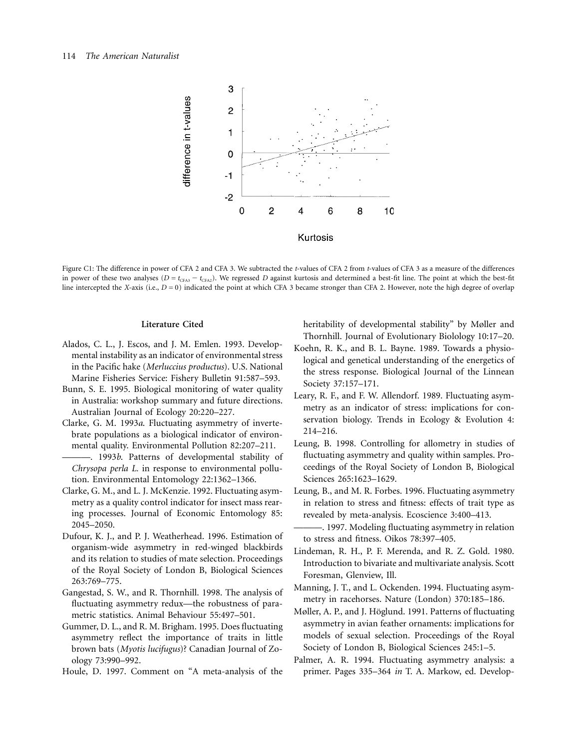

Figure C1: The difference in power of CFA 2 and CFA 3. We subtracted the *t*-values of CFA 2 from *t*-values of CFA 3 as a measure of the differences in power of these two analyses ( $D = t_{\text{CFA3}} - t_{\text{CFA2}}$ ). We regressed *D* against kurtosis and determined a best-fit line. The point at which the best-fit line intercepted the *X*-axis (i.e.,  $D = 0$ ) indicated the point at which CFA 3 became stronger than CFA 2. However, note the high degree of overlap

#### **Literature Cited**

- Alados, C. L., J. Escos, and J. M. Emlen. 1993. Developmental instability as an indicator of environmental stress in the Pacific hake (*Merluccius productus*). U.S. National Marine Fisheries Service: Fishery Bulletin 91:587–593.
- Bunn, S. E. 1995. Biological monitoring of water quality in Australia: workshop summary and future directions. Australian Journal of Ecology 20:220–227.
- Clarke, G. M. 1993*a*. Fluctuating asymmetry of invertebrate populations as a biological indicator of environmental quality. Environmental Pollution 82:207–211.
- ———. 1993*b*. Patterns of developmental stability of *Chrysopa perla L.* in response to environmental pollution. Environmental Entomology 22:1362–1366.
- Clarke, G. M., and L. J. McKenzie. 1992. Fluctuating asymmetry as a quality control indicator for insect mass rearing processes. Journal of Economic Entomology 85: 2045–2050.
- Dufour, K. J., and P. J. Weatherhead. 1996. Estimation of organism-wide asymmetry in red-winged blackbirds and its relation to studies of mate selection. Proceedings of the Royal Society of London B, Biological Sciences 263:769–775.
- Gangestad, S. W., and R. Thornhill. 1998. The analysis of fluctuating asymmetry redux—the robustness of parametric statistics. Animal Behaviour 55:497–501.
- Gummer, D. L., and R. M. Brigham. 1995. Does fluctuating asymmetry reflect the importance of traits in little brown bats (*Myotis lucifugus*)? Canadian Journal of Zoology 73:990–992.
- Houle, D. 1997. Comment on "A meta-analysis of the

heritability of developmental stability" by Møller and Thornhill. Journal of Evolutionary Biolology 10:17–20.

- Koehn, R. K., and B. L. Bayne. 1989. Towards a physiological and genetical understanding of the energetics of the stress response. Biological Journal of the Linnean Society 37:157–171.
- Leary, R. F., and F. W. Allendorf. 1989. Fluctuating asymmetry as an indicator of stress: implications for conservation biology. Trends in Ecology & Evolution 4: 214–216.
- Leung, B. 1998. Controlling for allometry in studies of fluctuating asymmetry and quality within samples. Proceedings of the Royal Society of London B, Biological Sciences 265:1623–1629.
- Leung, B., and M. R. Forbes. 1996. Fluctuating asymmetry in relation to stress and fitness: effects of trait type as revealed by meta-analysis. Ecoscience 3:400–413.
- -, 1997. Modeling fluctuating asymmetry in relation to stress and fitness. Oikos 78:397–405.
- Lindeman, R. H., P. F. Merenda, and R. Z. Gold. 1980. Introduction to bivariate and multivariate analysis. Scott Foresman, Glenview, Ill.
- Manning, J. T., and L. Ockenden. 1994. Fluctuating asymmetry in racehorses. Nature (London) 370:185–186.
- Møller, A. P., and J. Höglund. 1991. Patterns of fluctuating asymmetry in avian feather ornaments: implications for models of sexual selection. Proceedings of the Royal Society of London B, Biological Sciences 245:1–5.
- Palmer, A. R. 1994. Fluctuating asymmetry analysis: a primer. Pages 335–364 *in* T. A. Markow, ed. Develop-